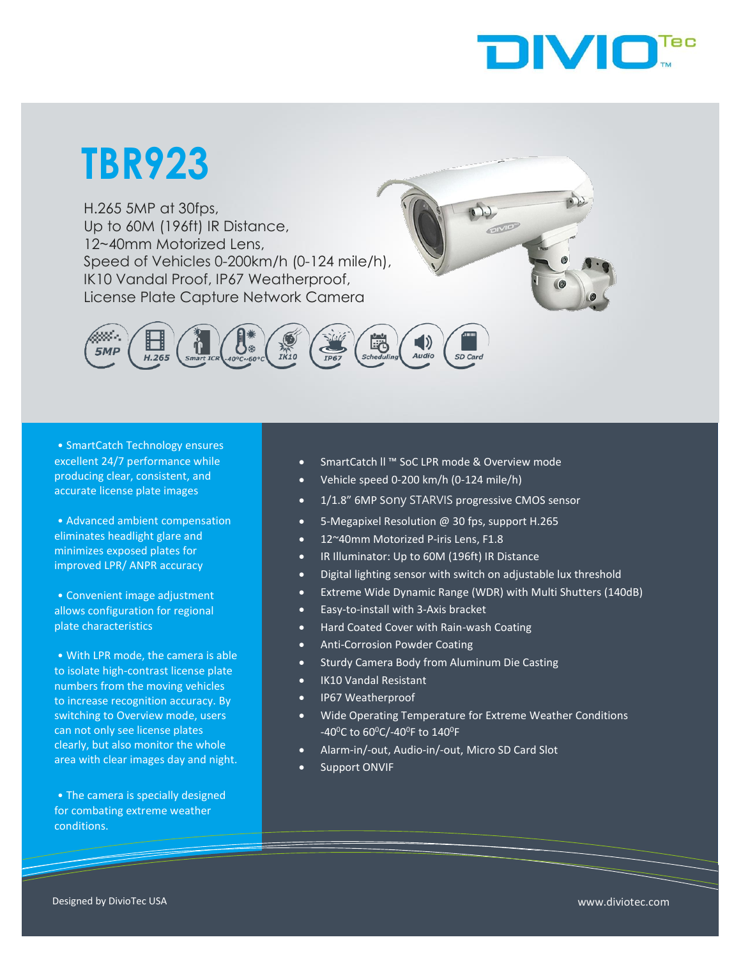

# **TBR923**

Speed of Vehicles 0-200km/h (0-124 mile/h),<br>IK10 Vandal Proof JP67 Weatherproof H.265 5MP at 30fps, Up to 60M (196ft) IR Distance, 12~40mm Motorized Lens, IK10 Vandal Proof, IP67 Weatherproof, License Plate Capture Network Camera



• SmartCatch Technology ensures excellent 24/7 performance while producing clear, consistent, and accurate license plate images

• Advanced ambient compensation eliminates headlight glare and minimizes exposed plates for improved LPR/ ANPR accuracy

• Convenient image adjustment allows configuration for regional plate characteristics

• With LPR mode, the camera is able to isolate high-contrast license plate numbers from the moving vehicles to increase recognition accuracy. By switching to Overview mode, users can not only see license plates clearly, but also monitor the whole area with clear images day and night.

• The camera is specially designed for combating extreme weather conditions.

- SmartCatch ll ™ SoC LPR mode & Overview mode
- Vehicle speed 0-200 km/h (0-124 mile/h)
- 1/1.8" 6MP Sony STARVIS progressive CMOS sensor
- 5-Megapixel Resolution @ 30 fps, support H.265
- 12~40mm Motorized P-iris Lens, F1.8
- IR Illuminator: Up to 60M (196ft) IR Distance
	- Digital lighting sensor with switch on adjustable lux threshold
- Extreme Wide Dynamic Range (WDR) with Multi Shutters (140dB)

OMO

- Easy-to-install with 3-Axis bracket
- Hard Coated Cover with Rain-wash Coating
- Anti-Corrosion Powder Coating
- Sturdy Camera Body from Aluminum Die Casting
- IK10 Vandal Resistant
- IP67 Weatherproof
- Wide Operating Temperature for Extreme Weather Conditions -40<sup>o</sup>C to 60<sup>o</sup>C/-40<sup>o</sup>F to 140<sup>o</sup>F
- Alarm-in/-out, Audio-in/-out, Micro SD Card Slot
- Support ONVIF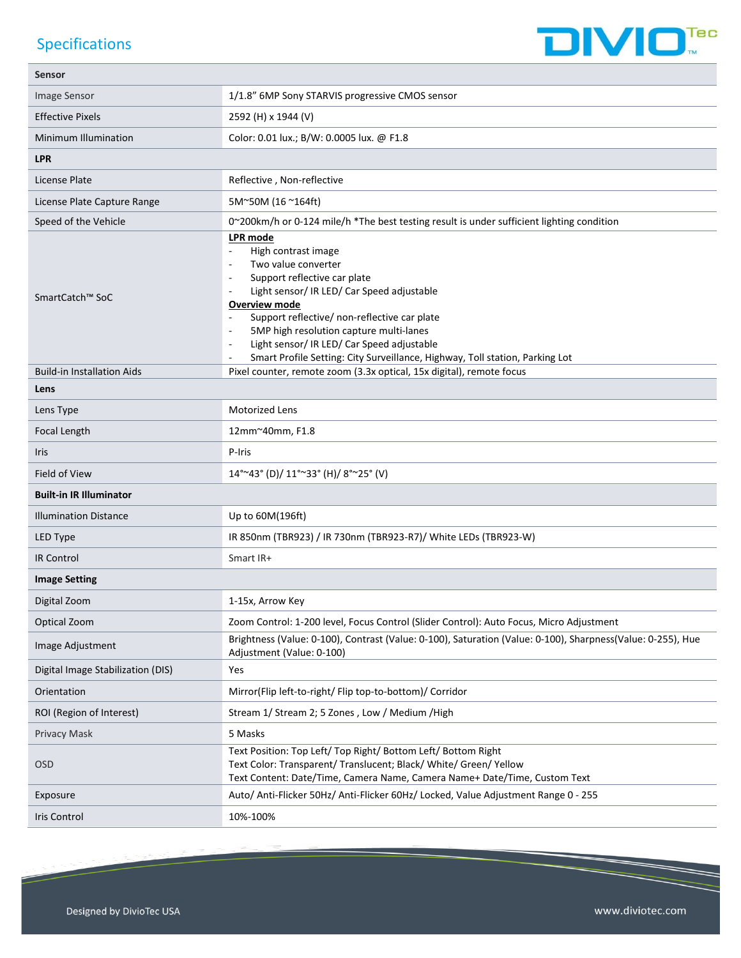## Specifications



| <b>Sensor</b>                     |                                                                                                                                                                                                                                                                                                                                                                                       |  |  |
|-----------------------------------|---------------------------------------------------------------------------------------------------------------------------------------------------------------------------------------------------------------------------------------------------------------------------------------------------------------------------------------------------------------------------------------|--|--|
| Image Sensor                      | 1/1.8" 6MP Sony STARVIS progressive CMOS sensor                                                                                                                                                                                                                                                                                                                                       |  |  |
| <b>Effective Pixels</b>           | 2592 (H) x 1944 (V)                                                                                                                                                                                                                                                                                                                                                                   |  |  |
| Minimum Illumination              | Color: 0.01 lux.; B/W: 0.0005 lux. @ F1.8                                                                                                                                                                                                                                                                                                                                             |  |  |
| <b>LPR</b>                        |                                                                                                                                                                                                                                                                                                                                                                                       |  |  |
| License Plate                     | Reflective, Non-reflective                                                                                                                                                                                                                                                                                                                                                            |  |  |
| License Plate Capture Range       | 5M~50M (16~164ft)                                                                                                                                                                                                                                                                                                                                                                     |  |  |
| Speed of the Vehicle              | 0~200km/h or 0-124 mile/h *The best testing result is under sufficient lighting condition                                                                                                                                                                                                                                                                                             |  |  |
| SmartCatch™ SoC                   | LPR mode<br>High contrast image<br>Two value converter<br>Support reflective car plate<br>Light sensor/ IR LED/ Car Speed adjustable<br><b>Overview mode</b><br>Support reflective/ non-reflective car plate<br>5MP high resolution capture multi-lanes<br>Light sensor/ IR LED/ Car Speed adjustable<br>Smart Profile Setting: City Surveillance, Highway, Toll station, Parking Lot |  |  |
| <b>Build-in Installation Aids</b> | Pixel counter, remote zoom (3.3x optical, 15x digital), remote focus                                                                                                                                                                                                                                                                                                                  |  |  |
| Lens                              |                                                                                                                                                                                                                                                                                                                                                                                       |  |  |
| Lens Type                         | <b>Motorized Lens</b>                                                                                                                                                                                                                                                                                                                                                                 |  |  |
| Focal Length                      | 12mm~40mm, F1.8                                                                                                                                                                                                                                                                                                                                                                       |  |  |
| <b>Iris</b>                       | P-Iris                                                                                                                                                                                                                                                                                                                                                                                |  |  |
| Field of View                     | $14^{\circ}$ ~43° (D)/ $11^{\circ}$ ~33° (H)/ $8^{\circ}$ ~25° (V)                                                                                                                                                                                                                                                                                                                    |  |  |
| <b>Built-in IR Illuminator</b>    |                                                                                                                                                                                                                                                                                                                                                                                       |  |  |
| <b>Illumination Distance</b>      | Up to 60M(196ft)                                                                                                                                                                                                                                                                                                                                                                      |  |  |
| LED Type                          | IR 850nm (TBR923) / IR 730nm (TBR923-R7)/ White LEDs (TBR923-W)                                                                                                                                                                                                                                                                                                                       |  |  |
| <b>IR Control</b>                 | Smart IR+                                                                                                                                                                                                                                                                                                                                                                             |  |  |
| <b>Image Setting</b>              |                                                                                                                                                                                                                                                                                                                                                                                       |  |  |
| Digital Zoom                      | 1-15x, Arrow Key                                                                                                                                                                                                                                                                                                                                                                      |  |  |
| Optical Zoom                      | Zoom Control: 1-200 level, Focus Control (Slider Control): Auto Focus, Micro Adjustment                                                                                                                                                                                                                                                                                               |  |  |
| Image Adjustment                  | Brightness (Value: 0-100), Contrast (Value: 0-100), Saturation (Value: 0-100), Sharpness (Value: 0-255), Hue<br>Adjustment (Value: 0-100)                                                                                                                                                                                                                                             |  |  |
| Digital Image Stabilization (DIS) | Yes                                                                                                                                                                                                                                                                                                                                                                                   |  |  |
| Orientation                       | Mirror(Flip left-to-right/ Flip top-to-bottom)/ Corridor                                                                                                                                                                                                                                                                                                                              |  |  |
| ROI (Region of Interest)          | Stream 1/ Stream 2; 5 Zones, Low / Medium / High                                                                                                                                                                                                                                                                                                                                      |  |  |
| <b>Privacy Mask</b>               | 5 Masks                                                                                                                                                                                                                                                                                                                                                                               |  |  |
| <b>OSD</b>                        | Text Position: Top Left/ Top Right/ Bottom Left/ Bottom Right<br>Text Color: Transparent/ Translucent; Black/ White/ Green/ Yellow<br>Text Content: Date/Time, Camera Name, Camera Name+ Date/Time, Custom Text                                                                                                                                                                       |  |  |
| Exposure                          | Auto/ Anti-Flicker 50Hz/ Anti-Flicker 60Hz/ Locked, Value Adjustment Range 0 - 255                                                                                                                                                                                                                                                                                                    |  |  |
| Iris Control                      | 10%-100%                                                                                                                                                                                                                                                                                                                                                                              |  |  |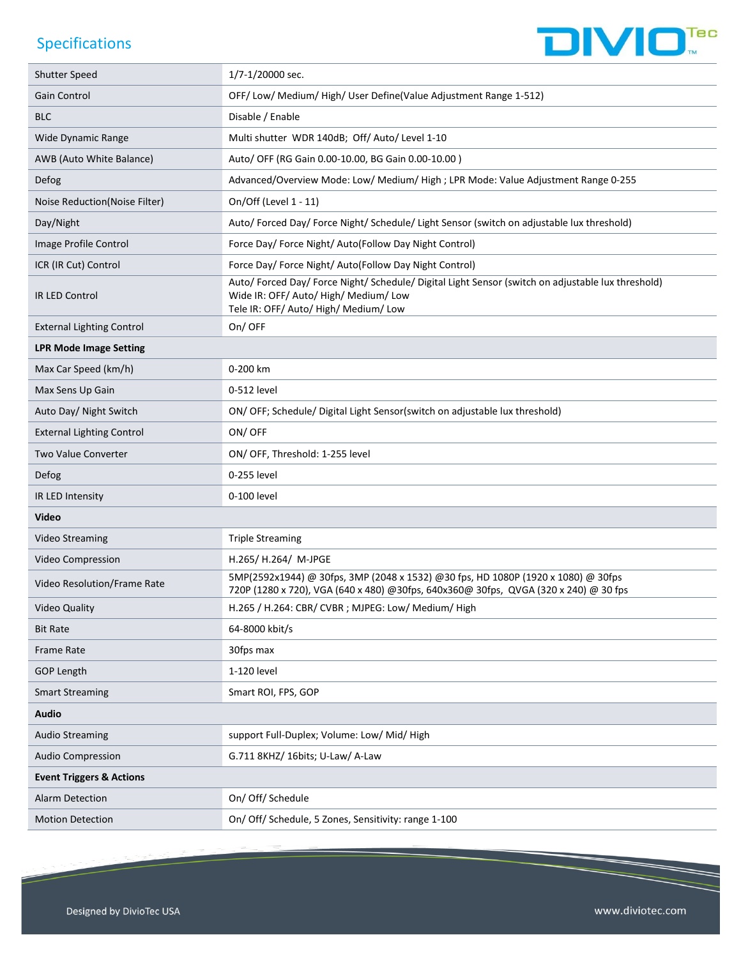#### **Specifications**



**IVIO<sup>Tec</sup>**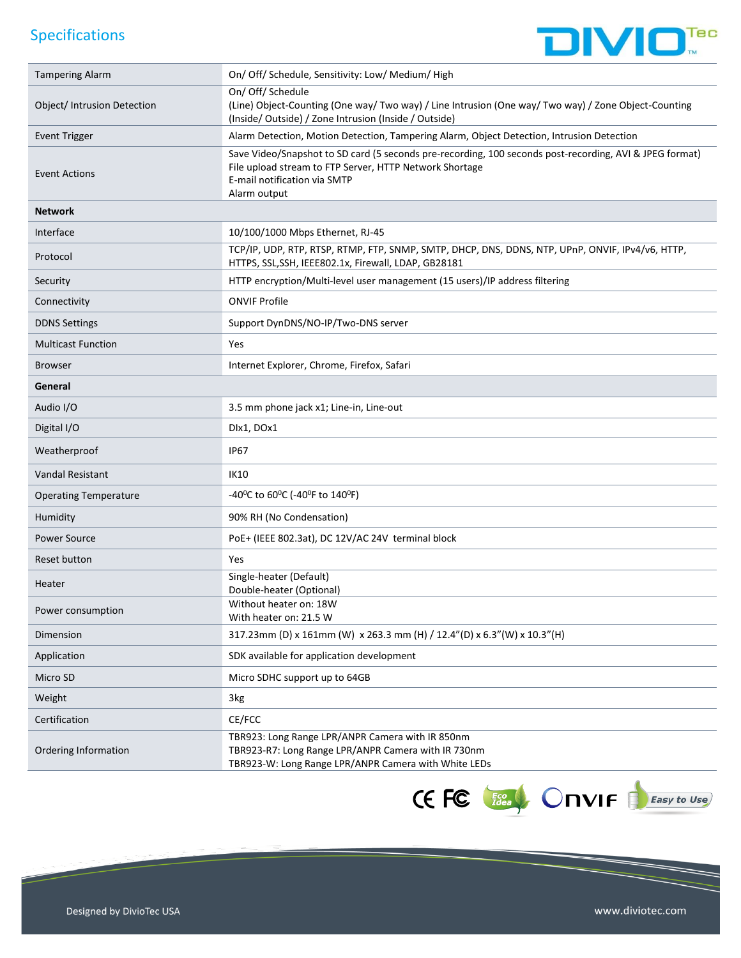## Specifications



| <b>Tampering Alarm</b>       | On/ Off/ Schedule, Sensitivity: Low/ Medium/ High                                                                                                                                                                  |  |
|------------------------------|--------------------------------------------------------------------------------------------------------------------------------------------------------------------------------------------------------------------|--|
| Object/ Intrusion Detection  | On/ Off/ Schedule<br>(Line) Object-Counting (One way/ Two way) / Line Intrusion (One way/ Two way) / Zone Object-Counting<br>(Inside/ Outside) / Zone Intrusion (Inside / Outside)                                 |  |
| <b>Event Trigger</b>         | Alarm Detection, Motion Detection, Tampering Alarm, Object Detection, Intrusion Detection                                                                                                                          |  |
| <b>Event Actions</b>         | Save Video/Snapshot to SD card (5 seconds pre-recording, 100 seconds post-recording, AVI & JPEG format)<br>File upload stream to FTP Server, HTTP Network Shortage<br>E-mail notification via SMTP<br>Alarm output |  |
| <b>Network</b>               |                                                                                                                                                                                                                    |  |
| Interface                    | 10/100/1000 Mbps Ethernet, RJ-45                                                                                                                                                                                   |  |
| Protocol                     | TCP/IP, UDP, RTP, RTSP, RTMP, FTP, SNMP, SMTP, DHCP, DNS, DDNS, NTP, UPnP, ONVIF, IPv4/v6, HTTP,<br>HTTPS, SSL, SSH, IEEE802.1x, Firewall, LDAP, GB28181                                                           |  |
| Security                     | HTTP encryption/Multi-level user management (15 users)/IP address filtering                                                                                                                                        |  |
| Connectivity                 | <b>ONVIF Profile</b>                                                                                                                                                                                               |  |
| <b>DDNS Settings</b>         | Support DynDNS/NO-IP/Two-DNS server                                                                                                                                                                                |  |
| <b>Multicast Function</b>    | Yes                                                                                                                                                                                                                |  |
| <b>Browser</b>               | Internet Explorer, Chrome, Firefox, Safari                                                                                                                                                                         |  |
| General                      |                                                                                                                                                                                                                    |  |
| Audio I/O                    | 3.5 mm phone jack x1; Line-in, Line-out                                                                                                                                                                            |  |
| Digital I/O                  | DIx1, DOx1                                                                                                                                                                                                         |  |
| Weatherproof                 | <b>IP67</b>                                                                                                                                                                                                        |  |
| Vandal Resistant             | <b>IK10</b>                                                                                                                                                                                                        |  |
| <b>Operating Temperature</b> | -40 <sup>o</sup> C to 60 <sup>o</sup> C (-40 <sup>o</sup> F to 140 <sup>o</sup> F)                                                                                                                                 |  |
| Humidity                     | 90% RH (No Condensation)                                                                                                                                                                                           |  |
| <b>Power Source</b>          | PoE+ (IEEE 802.3at), DC 12V/AC 24V terminal block                                                                                                                                                                  |  |
| Reset button                 | Yes                                                                                                                                                                                                                |  |
| Heater                       | Single-heater (Default)<br>Double-heater (Optional)                                                                                                                                                                |  |
| Power consumption            | Without heater on: 18W<br>With heater on: 21.5 W                                                                                                                                                                   |  |
| Dimension                    | 317.23mm (D) x 161mm (W) x 263.3 mm (H) / 12.4"(D) x 6.3"(W) x 10.3"(H)                                                                                                                                            |  |
| Application                  | SDK available for application development                                                                                                                                                                          |  |
| Micro SD                     | Micro SDHC support up to 64GB                                                                                                                                                                                      |  |
| Weight                       | 3kg                                                                                                                                                                                                                |  |
| Certification                | CE/FCC                                                                                                                                                                                                             |  |
| Ordering Information         | TBR923: Long Range LPR/ANPR Camera with IR 850nm<br>TBR923-R7: Long Range LPR/ANPR Camera with IR 730nm<br>TBR923-W: Long Range LPR/ANPR Camera with White LEDs                                                    |  |



www.diviotec.com